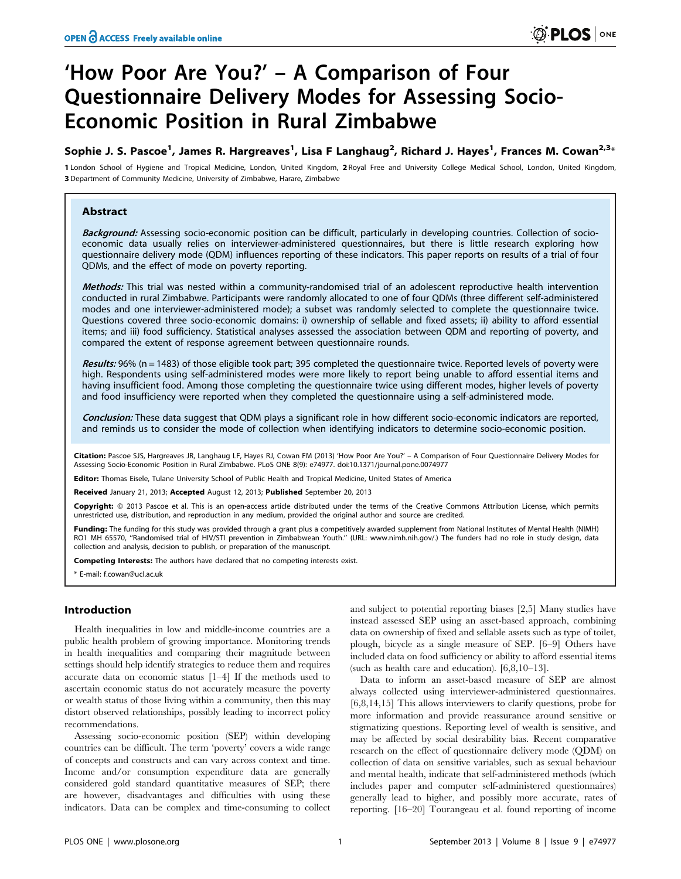# 'How Poor Are You?' – A Comparison of Four Questionnaire Delivery Modes for Assessing Socio-Economic Position in Rural Zimbabwe

# Sophie J. S. Pascoe<sup>1</sup>, James R. Hargreaves<sup>1</sup>, Lisa F Langhaug<sup>2</sup>, Richard J. Hayes<sup>1</sup>, Frances M. Cowan<sup>2,3</sup>\*

1 London School of Hygiene and Tropical Medicine, London, United Kingdom, 2 Royal Free and University College Medical School, London, United Kingdom, 3 Department of Community Medicine, University of Zimbabwe, Harare, Zimbabwe

## Abstract

Background: Assessing socio-economic position can be difficult, particularly in developing countries. Collection of socioeconomic data usually relies on interviewer-administered questionnaires, but there is little research exploring how questionnaire delivery mode (QDM) influences reporting of these indicators. This paper reports on results of a trial of four QDMs, and the effect of mode on poverty reporting.

Methods: This trial was nested within a community-randomised trial of an adolescent reproductive health intervention conducted in rural Zimbabwe. Participants were randomly allocated to one of four QDMs (three different self-administered modes and one interviewer-administered mode); a subset was randomly selected to complete the questionnaire twice. Questions covered three socio-economic domains: i) ownership of sellable and fixed assets; ii) ability to afford essential items; and iii) food sufficiency. Statistical analyses assessed the association between QDM and reporting of poverty, and compared the extent of response agreement between questionnaire rounds.

Results: 96% (n = 1483) of those eligible took part; 395 completed the questionnaire twice. Reported levels of poverty were high. Respondents using self-administered modes were more likely to report being unable to afford essential items and having insufficient food. Among those completing the questionnaire twice using different modes, higher levels of poverty and food insufficiency were reported when they completed the questionnaire using a self-administered mode.

Conclusion: These data suggest that QDM plays a significant role in how different socio-economic indicators are reported, and reminds us to consider the mode of collection when identifying indicators to determine socio-economic position.

Citation: Pascoe SJS, Hargreaves JR, Langhaug LF, Hayes RJ, Cowan FM (2013) 'How Poor Are You?' – A Comparison of Four Questionnaire Delivery Modes for Assessing Socio-Economic Position in Rural Zimbabwe. PLoS ONE 8(9): e74977. doi:10.1371/journal.pone.0074977

Editor: Thomas Eisele, Tulane University School of Public Health and Tropical Medicine, United States of America

Received January 21, 2013; Accepted August 12, 2013; Published September 20, 2013

Copyright: © 2013 Pascoe et al. This is an open-access article distributed under the terms of the Creative Commons Attribution License, which permits .<br>estricted use, distribution, and reproduction in any medium, provided the original author and source are credited.

Funding: The funding for this study was provided through a grant plus a competitively awarded supplement from National Institutes of Mental Health (NIMH) RO1 MH 65570, ''Randomised trial of HIV/STI prevention in Zimbabwean Youth.'' (URL: www.nimh.nih.gov/.) The funders had no role in study design, data collection and analysis, decision to publish, or preparation of the manuscript.

Competing Interests: The authors have declared that no competing interests exist.

\* E-mail: f.cowan@ucl.ac.uk

## Introduction

Health inequalities in low and middle-income countries are a public health problem of growing importance. Monitoring trends in health inequalities and comparing their magnitude between settings should help identify strategies to reduce them and requires accurate data on economic status [1–4] If the methods used to ascertain economic status do not accurately measure the poverty or wealth status of those living within a community, then this may distort observed relationships, possibly leading to incorrect policy recommendations.

Assessing socio-economic position (SEP) within developing countries can be difficult. The term 'poverty' covers a wide range of concepts and constructs and can vary across context and time. Income and/or consumption expenditure data are generally considered gold standard quantitative measures of SEP; there are however, disadvantages and difficulties with using these indicators. Data can be complex and time-consuming to collect

and subject to potential reporting biases [2,5] Many studies have instead assessed SEP using an asset-based approach, combining data on ownership of fixed and sellable assets such as type of toilet, plough, bicycle as a single measure of SEP. [6–9] Others have included data on food sufficiency or ability to afford essential items (such as health care and education). [6,8,10–13].

Data to inform an asset-based measure of SEP are almost always collected using interviewer-administered questionnaires. [6,8,14,15] This allows interviewers to clarify questions, probe for more information and provide reassurance around sensitive or stigmatizing questions. Reporting level of wealth is sensitive, and may be affected by social desirability bias. Recent comparative research on the effect of questionnaire delivery mode (QDM) on collection of data on sensitive variables, such as sexual behaviour and mental health, indicate that self-administered methods (which includes paper and computer self-administered questionnaires) generally lead to higher, and possibly more accurate, rates of reporting. [16–20] Tourangeau et al. found reporting of income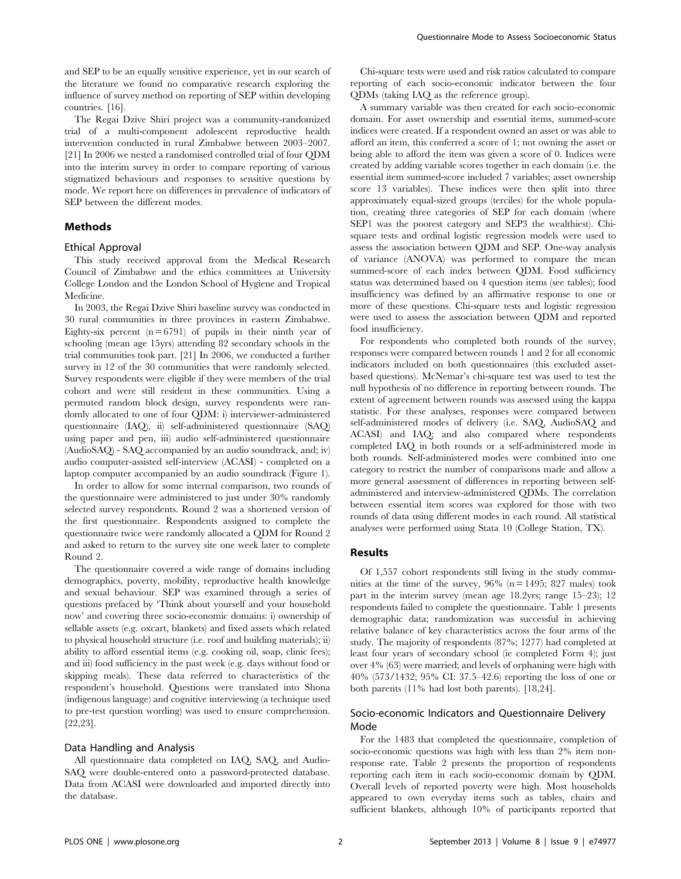and SEP to be an equally sensitive experience, yet in our search of the literature we found no comparative research exploring the influence of survey method on reporting of SEP within developing countries. [16].

The Regai Dzive Shiri project was a community-randomized trial of a multi-component adolescent reproductive health intervention conducted in rural Zimbabwe between 2003–2007. [21] In 2006 we nested a randomised controlled trial of four QDM into the interim survey in order to compare reporting of various stigmatized behaviours and responses to sensitive questions by mode. We report here on differences in prevalence of indicators of SEP between the different modes.

## Methods

#### Ethical Approval

This study received approval from the Medical Research Council of Zimbabwe and the ethics committees at University College London and the London School of Hygiene and Tropical Medicine.

In 2003, the Regai Dzive Shiri baseline survey was conducted in 30 rural communities in three provinces in eastern Zimbabwe. Eighty-six percent  $(n = 6791)$  of pupils in their ninth year of schooling (mean age 15yrs) attending 82 secondary schools in the trial communities took part. [21] In 2006, we conducted a further survey in 12 of the 30 communities that were randomly selected. Survey respondents were eligible if they were members of the trial cohort and were still resident in these communities. Using a permuted random block design, survey respondents were randomly allocated to one of four QDM: i) interviewer-administered questionnaire (IAQ), ii) self-administered questionnaire (SAQ) using paper and pen, iii) audio self-administered questionnaire (AudioSAQ) - SAQ accompanied by an audio soundtrack, and; iv) audio computer-assisted self-interview (ACASI) - completed on a laptop computer accompanied by an audio soundtrack (Figure 1).

In order to allow for some internal comparison, two rounds of the questionnaire were administered to just under 30% randomly selected survey respondents. Round 2 was a shortened version of the first questionnaire. Respondents assigned to complete the questionnaire twice were randomly allocated a QDM for Round 2 and asked to return to the survey site one week later to complete Round 2.

The questionnaire covered a wide range of domains including demographics, poverty, mobility, reproductive health knowledge and sexual behaviour. SEP was examined through a series of questions prefaced by 'Think about yourself and your household now' and covering three socio-economic domains: i) ownership of sellable assets (e.g. oxcart, blankets) and fixed assets which related to physical household structure (i.e. roof and building materials); ii) ability to afford essential items (e.g. cooking oil, soap, clinic fees); and iii) food sufficiency in the past week (e.g. days without food or skipping meals). These data referred to characteristics of the respondent's household. Questions were translated into Shona (indigenous language) and cognitive interviewing (a technique used to pre-test question wording) was used to ensure comprehension. [22,23].

## Data Handling and Analysis

All questionnaire data completed on IAQ, SAQ, and Audio-SAQ were double-entered onto a password-protected database. Data from ACASI were downloaded and imported directly into the database.

Chi-square tests were used and risk ratios calculated to compare reporting of each socio-economic indicator between the four QDMs (taking IAQ as the reference group).

A summary variable was then created for each socio-economic domain. For asset ownership and essential items, summed-score indices were created. If a respondent owned an asset or was able to afford an item, this conferred a score of 1; not owning the asset or being able to afford the item was given a score of 0. Indices were created by adding variable scores together in each domain (i.e. the essential item summed-score included 7 variables; asset ownership score 13 variables). These indices were then split into three approximately equal-sized groups (terciles) for the whole population, creating three categories of SEP for each domain (where SEP1 was the poorest category and SEP3 the wealthiest). Chisquare tests and ordinal logistic regression models were used to assess the association between QDM and SEP. One-way analysis of variance (ANOVA) was performed to compare the mean summed-score of each index between QDM. Food sufficiency status was determined based on 4 question items (see tables); food insufficiency was defined by an affirmative response to one or more of these questions. Chi-square tests and logistic regression were used to assess the association between QDM and reported food insufficiency.

For respondents who completed both rounds of the survey, responses were compared between rounds 1 and 2 for all economic indicators included on both questionnaires (this excluded assetbased questions). McNemar's chi-square test was used to test the null hypothesis of no difference in reporting between rounds. The extent of agreement between rounds was assessed using the kappa statistic. For these analyses, responses were compared between self-administered modes of delivery (i.e. SAQ, AudioSAQ and ACASI) and IAQ; and also compared where respondents completed IAQ in both rounds or a self-administered mode in both rounds. Self-administered modes were combined into one category to restrict the number of comparisons made and allow a more general assessment of differences in reporting between selfadministered and interview-administered QDMs. The correlation between essential item scores was explored for those with two rounds of data using different modes in each round. All statistical analyses were performed using Stata 10 (College Station, TX).

#### Results

Of 1,557 cohort respondents still living in the study communities at the time of the survey,  $96\%$  (n = 1495; 827 males) took part in the interim survey (mean age 18.2yrs; range 15–23); 12 respondents failed to complete the questionnaire. Table 1 presents demographic data; randomization was successful in achieving relative balance of key characteristics across the four arms of the study. The majority of respondents (87%; 1277) had completed at least four years of secondary school (ie completed Form 4); just over 4% (63) were married; and levels of orphaning were high with 40% (573/1432; 95% CI: 37.5–42.6) reporting the loss of one or both parents (11% had lost both parents). [18,24].

## Socio-economic Indicators and Questionnaire Delivery Mode

For the 1483 that completed the questionnaire, completion of socio-economic questions was high with less than 2% item nonresponse rate. Table 2 presents the proportion of respondents reporting each item in each socio-economic domain by QDM. Overall levels of reported poverty were high. Most households appeared to own everyday items such as tables, chairs and sufficient blankets, although 10% of participants reported that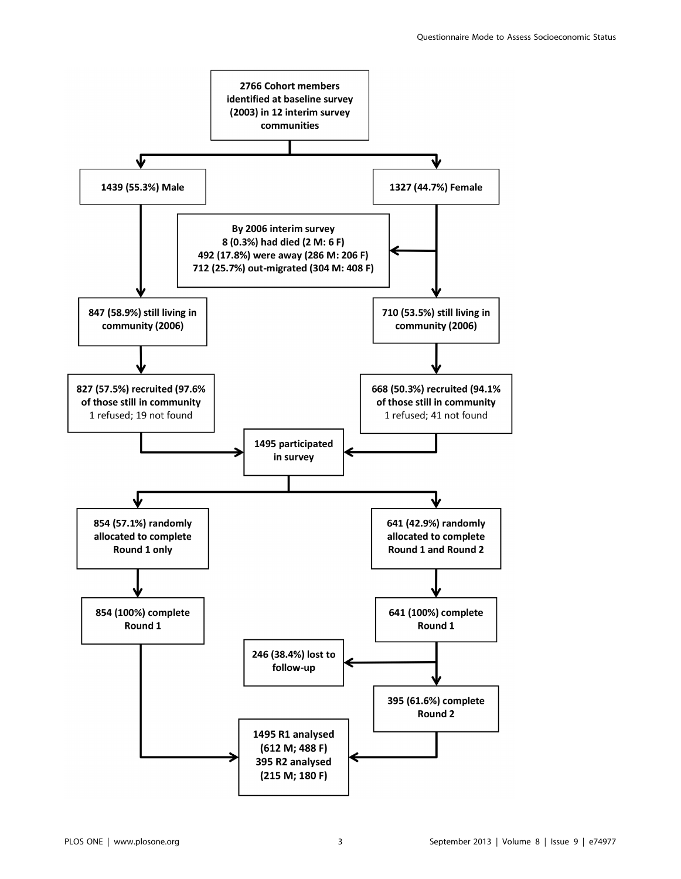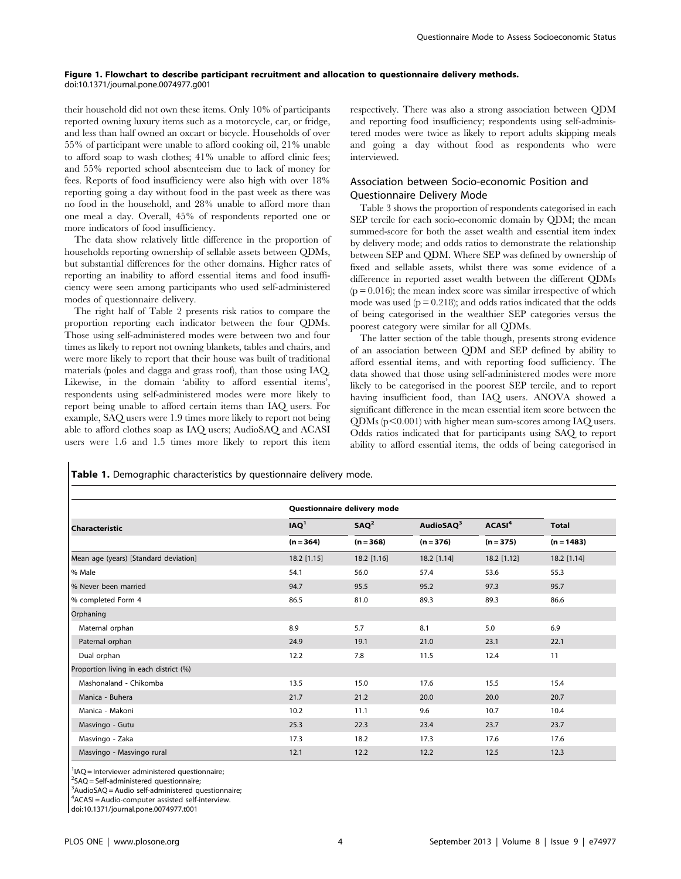#### Figure 1. Flowchart to describe participant recruitment and allocation to questionnaire delivery methods. doi:10.1371/journal.pone.0074977.g001

their household did not own these items. Only 10% of participants reported owning luxury items such as a motorcycle, car, or fridge, and less than half owned an oxcart or bicycle. Households of over 55% of participant were unable to afford cooking oil, 21% unable to afford soap to wash clothes; 41% unable to afford clinic fees; and 55% reported school absenteeism due to lack of money for fees. Reports of food insufficiency were also high with over 18% reporting going a day without food in the past week as there was no food in the household, and 28% unable to afford more than one meal a day. Overall, 45% of respondents reported one or more indicators of food insufficiency.

The data show relatively little difference in the proportion of households reporting ownership of sellable assets between QDMs, but substantial differences for the other domains. Higher rates of reporting an inability to afford essential items and food insufficiency were seen among participants who used self-administered modes of questionnaire delivery.

The right half of Table 2 presents risk ratios to compare the proportion reporting each indicator between the four QDMs. Those using self-administered modes were between two and four times as likely to report not owning blankets, tables and chairs, and were more likely to report that their house was built of traditional materials (poles and dagga and grass roof), than those using IAQ. Likewise, in the domain 'ability to afford essential items', respondents using self-administered modes were more likely to report being unable to afford certain items than IAQ users. For example, SAQ users were 1.9 times more likely to report not being able to afford clothes soap as IAQ users; AudioSAQ and ACASI users were 1.6 and 1.5 times more likely to report this item respectively. There was also a strong association between QDM and reporting food insufficiency; respondents using self-administered modes were twice as likely to report adults skipping meals and going a day without food as respondents who were interviewed.

# Association between Socio-economic Position and Questionnaire Delivery Mode

Table 3 shows the proportion of respondents categorised in each SEP tercile for each socio-economic domain by QDM; the mean summed-score for both the asset wealth and essential item index by delivery mode; and odds ratios to demonstrate the relationship between SEP and QDM. Where SEP was defined by ownership of fixed and sellable assets, whilst there was some evidence of a difference in reported asset wealth between the different QDMs  $(p = 0.016)$ ; the mean index score was similar irrespective of which mode was used  $(p = 0.218)$ ; and odds ratios indicated that the odds of being categorised in the wealthier SEP categories versus the poorest category were similar for all QDMs.

The latter section of the table though, presents strong evidence of an association between QDM and SEP defined by ability to afford essential items, and with reporting food sufficiency. The data showed that those using self-administered modes were more likely to be categorised in the poorest SEP tercile, and to report having insufficient food, than IAQ users. ANOVA showed a significant difference in the mean essential item score between the  $QDMs$  ( $p<0.001$ ) with higher mean sum-scores among IAQ users. Odds ratios indicated that for participants using SAQ to report ability to afford essential items, the odds of being categorised in

Table 1. Demographic characteristics by questionnaire delivery mode.

|                                        |                  | Questionnaire delivery mode |                       |                    |              |  |
|----------------------------------------|------------------|-----------------------------|-----------------------|--------------------|--------------|--|
| <b>Characteristic</b>                  | IAQ <sup>1</sup> | $SAQ^2$                     | AudioSAQ <sup>3</sup> | ACASI <sup>4</sup> | <b>Total</b> |  |
|                                        | $(n = 364)$      | $(n = 368)$                 | $(n = 376)$           | $(n = 375)$        | $(n = 1483)$ |  |
| Mean age (years) [Standard deviation]  | 18.2 [1.15]      | 18.2 [1.16]                 | 18.2 [1.14]           | 18.2 [1.12]        | 18.2 [1.14]  |  |
| % Male                                 | 54.1             | 56.0                        | 57.4                  | 53.6               | 55.3         |  |
| % Never been married                   | 94.7             | 95.5                        | 95.2                  | 97.3               | 95.7         |  |
| % completed Form 4                     | 86.5             | 81.0                        | 89.3                  | 89.3               | 86.6         |  |
| Orphaning                              |                  |                             |                       |                    |              |  |
| Maternal orphan                        | 8.9              | 5.7                         | 8.1                   | 5.0                | 6.9          |  |
| Paternal orphan                        | 24.9             | 19.1                        | 21.0                  | 23.1               | 22.1         |  |
| Dual orphan                            | 12.2             | 7.8                         | 11.5                  | 12.4               | 11           |  |
| Proportion living in each district (%) |                  |                             |                       |                    |              |  |
| Mashonaland - Chikomba                 | 13.5             | 15.0                        | 17.6                  | 15.5               | 15.4         |  |
| Manica - Buhera                        | 21.7             | 21.2                        | 20.0                  | 20.0               | 20.7         |  |
| Manica - Makoni                        | 10.2             | 11.1                        | 9.6                   | 10.7               | 10.4         |  |
| Masvingo - Gutu                        | 25.3             | 22.3                        | 23.4                  | 23.7               | 23.7         |  |
| Masvingo - Zaka                        | 17.3             | 18.2                        | 17.3                  | 17.6               | 17.6         |  |
| Masvingo - Masvingo rural              | 12.1             | 12.2                        | 12.2                  | 12.5               | 12.3         |  |

<sup>1</sup>IAQ = Interviewer administered questionnaire;

2 SAQ = Self-administered questionnaire;

<sup>3</sup>AudioSAQ = Audio self-administered questionnaire;

4 ACASI = Audio-computer assisted self-interview.

doi:10.1371/journal.pone.0074977.t001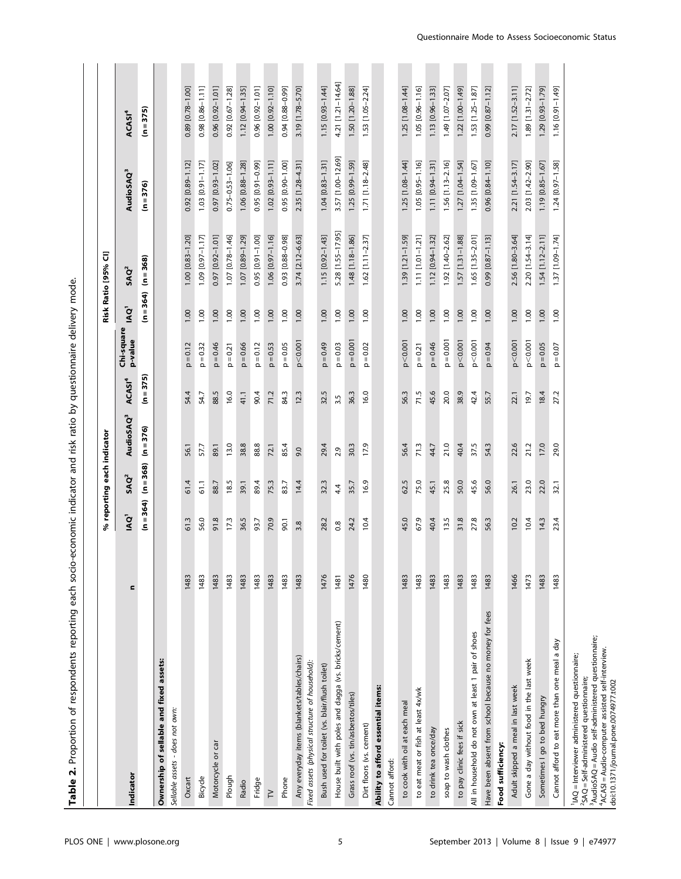| Proportion of respondents reporting each socio<br>$\dot{\mathbf{r}}$<br><b>Table</b>                                                                                                                                                                                        |      |                  |                            | economic indicator and risk ratio by questionnaire delivery mode |                    |                            |                  |                         |                         |                         |
|-----------------------------------------------------------------------------------------------------------------------------------------------------------------------------------------------------------------------------------------------------------------------------|------|------------------|----------------------------|------------------------------------------------------------------|--------------------|----------------------------|------------------|-------------------------|-------------------------|-------------------------|
|                                                                                                                                                                                                                                                                             |      |                  |                            |                                                                  |                    |                            |                  |                         |                         |                         |
|                                                                                                                                                                                                                                                                             |      |                  | % reporting each indicator |                                                                  |                    |                            |                  | Risk Ratio [95% Cl]     |                         |                         |
| Indicator                                                                                                                                                                                                                                                                   | c    | IAQ <sup>1</sup> | SAO <sup>2</sup>           | AudioSAQ <sup>3</sup>                                            | ACASI <sup>4</sup> | Chi-square<br>p-value      | IAQ <sup>1</sup> | SAO <sup>2</sup>        | AudioSAQ <sup>3</sup>   | ACASI <sup>4</sup>      |
|                                                                                                                                                                                                                                                                             |      | $(n = 364)$      | $(n = 368)$                | $(n=376)$                                                        | $(n = 375)$        |                            | $(n = 364)$      | $(n = 368)$             | $(n=376)$               | $(n = 375)$             |
| Ownership of sellable and fixed assets:                                                                                                                                                                                                                                     |      |                  |                            |                                                                  |                    |                            |                  |                         |                         |                         |
| Sellable assets - does not own:                                                                                                                                                                                                                                             |      |                  |                            |                                                                  |                    |                            |                  |                         |                         |                         |
| Oxcart                                                                                                                                                                                                                                                                      | 1483 | 61.3             | 61.4                       | 56.1                                                             | 54.4               | $p = 0.12$                 | 00.1             | 1.00 [0.83-1.20]        | $[0.89 - 1.12]$<br>0.92 | $[0.78 - 1.00]$<br>0.89 |
| Bicycle                                                                                                                                                                                                                                                                     | 1483 | 56.0             | 61.1                       | 57.7                                                             | 54.7               | $p = 0.32$                 | 1.00             | 1.09 [0.97-1.17]        | $1.03$ [0.91-1.17]      | $0.98$ $[0.86 - 1.11]$  |
| Motorcycle or car                                                                                                                                                                                                                                                           | 1483 | 91.8             | 88.7                       | 89.1                                                             | 88.5               | $p = 0.46$                 | 1.00             | 0.97 [0.92-1.01]        | 0.97 [0.93-1.02]        | 0.96 [0.92-1.01]        |
| Plough                                                                                                                                                                                                                                                                      | 1483 | 17.3             | 18.5                       | 13.0                                                             | 16.0               | $p = 0.21$                 | 1.00             | 1.07 [0.78-1.46]        | $0.75 - 0.53 - 1.06$    | 0.92 [0.67-1.28]        |
| Radio                                                                                                                                                                                                                                                                       | 1483 | 36.5             | 39.1                       | 38.8                                                             | 41.1               | $p = 0.66$                 | 1.00             | 1.07 [0.89-1.29]        | 1.06 [0.88-1.28]        | 1.12 [0.94-1.35]        |
| Fridge                                                                                                                                                                                                                                                                      | 1483 | 93.7             | 89.4                       | 88.8                                                             | 90.4               | $p = 0.12$                 | 1.00             | 0.95 [0.91-1.00]        | 0.95 [0.91-0.99]        | 0.96 [0.92-1.01]        |
| $\geq$                                                                                                                                                                                                                                                                      | 1483 | 70.9             | 75.3                       | 72.1                                                             | 71.2               | $p = 0.53$                 | 1.00             | 1.06 [0.97-1.16]        | $1.02$ [0.93-1.11]      | 1.00 [0.92-1.10]        |
| Phone                                                                                                                                                                                                                                                                       | 1483 | 90.1             | 83.7                       | 85.4                                                             | 84.3               | 0.05<br>$\mathop\square$   | 1.00             | 0.93 [0.88-0.98]        | $[0.90 - 1.00]$<br>0.95 | 0.94 [0.88-0.99]        |
| Any everyday items (blankets/tables/chairs)                                                                                                                                                                                                                                 | 1483 | 3.8              | 14.4                       | 9.0                                                              | 12.3               | p < 0.001                  | 1.00             | 3.74 [2.12-6.63]        | 2.35 [1.28-4.31]        | 3.19 [1.78-5.70]        |
| Fixed assets (physical structure of household):                                                                                                                                                                                                                             |      |                  |                            |                                                                  |                    |                            |                  |                         |                         |                         |
| Bush used for toilet (vs. blair/flush toilet)                                                                                                                                                                                                                               | 1476 | 28.2             | 32.3                       | 29.4                                                             | 32.5               | $p = 0.49$                 | 1.00             | 1.15 [0.92-1.43]        | 1.04 [0.83-1.31]        | 1.15 [0.93-1.44]        |
| House built with poles and dagga (vs. bricks/cement)                                                                                                                                                                                                                        | 1481 | $\frac{8}{1}$    | 4.4                        | 2.9                                                              | 3.5                | $p = 0.03$                 | 1.00             | 5.28 [1.55-17.95]       | 3.57 [1.00-12.69]       | 4.21 [1.21-14.64]       |
| Grass roof (vs. tin/asbestos/tiles)                                                                                                                                                                                                                                         | 1476 | 24.2             | 35.7                       | 30.3                                                             | 36.3               | $p = 0.001$                | 1.00             | 1.48 [1.18-1.86]        | 1.25 [0.99-1.59]        | 1.50 [1.20-1.88]        |
| Dirt floors (vs. cement)                                                                                                                                                                                                                                                    | 1480 | 10.4             | 16.9                       | 17.9                                                             | 16.0               | 0.02<br>$\frac{1}{\Omega}$ | 00.1             | $[1.11 - 2.37]$<br>1.62 | 1.71 [1.18-2.48]        | 1.53 [1.05-2.24]        |
| Ability to afford essential items:                                                                                                                                                                                                                                          |      |                  |                            |                                                                  |                    |                            |                  |                         |                         |                         |
| Cannot afford:                                                                                                                                                                                                                                                              |      |                  |                            |                                                                  |                    |                            |                  |                         |                         |                         |
| to cook with oil at each meal                                                                                                                                                                                                                                               | 1483 | 45.0             | 62.5                       | 56.4                                                             | 56.3               | p < 0.001                  | 1.00             | 1.39 [1.21-1.59]        | $1.25$ [1.08-1.44]      | 1.25 [1.08-1.44]        |
| to eat meat or fish at least 4x/wk                                                                                                                                                                                                                                          | 1483 | 67.9             | 75.0                       | 71.3                                                             | 71.5               | $p = 0.21$                 | 1.00             | 1.11 [1.01-1.21]        | 1.05 [0.95-1.16]        | 1.05 [0.96-1.16]        |
| to drink tea once/day                                                                                                                                                                                                                                                       | 1483 | 40.4             | 45.1                       | 44.7                                                             | 45.6               | $p = 0.46$                 | 1.00             | 1.12 [0.94-1.32]        | 1.11 [0.94-1.31]        | 1.13 [0.96-1.33]        |
| soap to wash clothes                                                                                                                                                                                                                                                        | 1483 | 13.5             | 25.8                       | 21.0                                                             | 20.0               | $p = 0.001$                | 1.00             | 1.92 [1.40-2.62]        | 1.56 [1.13-2.16]        | 1.49 [1.07-2.07]        |
| to pay clinic fees if sick                                                                                                                                                                                                                                                  | 1483 | 31.8             | 50.0                       | 40.4                                                             | 38.9               | p < 0.001                  | 1.00             | 1.57 [1.31-1.88]        | 1.27 [1.04-1.54]        | 1.22 [1.00-1.49]        |
| All in household do not own at least 1 pair of shoes                                                                                                                                                                                                                        | 1483 | 27.8             | 45.6                       | 37.5                                                             | 42.4               | p < 0.001                  | 1.00             | $1.65$ [1.35-2.01]      | 1.35 [1.09-1.67]        | 1.53 [1.25-1.87]        |
| Have been absent from school because no money for fees                                                                                                                                                                                                                      | 1483 | 56.3             | 56.0                       | 54.3                                                             | 55.7               | $p = 0.94$                 | 1.00             | 0.99 [0.87-1.13]        | 0.96 [0.84-1.10]        | 0.99 [0.87-1.12]        |
| Food sufficiency:                                                                                                                                                                                                                                                           |      |                  |                            |                                                                  |                    |                            |                  |                         |                         |                         |
| Adult skipped a meal in last week                                                                                                                                                                                                                                           | 1466 | 10.2             | 26.1                       | 22.6                                                             | 22.1               | p < 0.001                  | 1.00             | 2.56 [1.80-3.64]        | 2.21 [1.54-3.17]        | 2.17 [1.52-3.11]        |
| Gone a day without food in the last week                                                                                                                                                                                                                                    | 1473 | 10.4             | 23.0                       | 21.2                                                             | 19.7               | p < 0.001                  | 1.00             | 2.20 [1.54-3.14]        | 2.03 [1.42-2.90]        | $1.89$ [1.31-2.72]      |
| Sometimes I go to bed hungry                                                                                                                                                                                                                                                | 1483 | 14.3             | 22.0                       | 17.0                                                             | 18.4               | $p = 0.05$                 | 1.00             | $1.54$ [1.12-2.11]      | 1.19 [0.85-1.67]        | 1.29 [0.93-1.79]        |
| Cannot afford to eat more than one meal a day                                                                                                                                                                                                                               | 1483 | 23.4             | 32.1                       | 29.0                                                             | 27.2               | $p = 0.07$                 | 1.00             | 1.37 [1.09-1.74]        | 1.24 [0.97-1.58]        | 1.16 [0.91-1.49]        |
| <sup>3</sup> AudioSAQ = Audio self-administered questionnaire;<br>4ACASI = Audio-computer assisted self-interview.<br><sup>1</sup> IAQ = Interviewer administered questionnaire;<br>${}^{2}SAO = Self-administered questionnaire;$<br>doi:10.1371/journal.pone.0074977.t002 |      |                  |                            |                                                                  |                    |                            |                  |                         |                         |                         |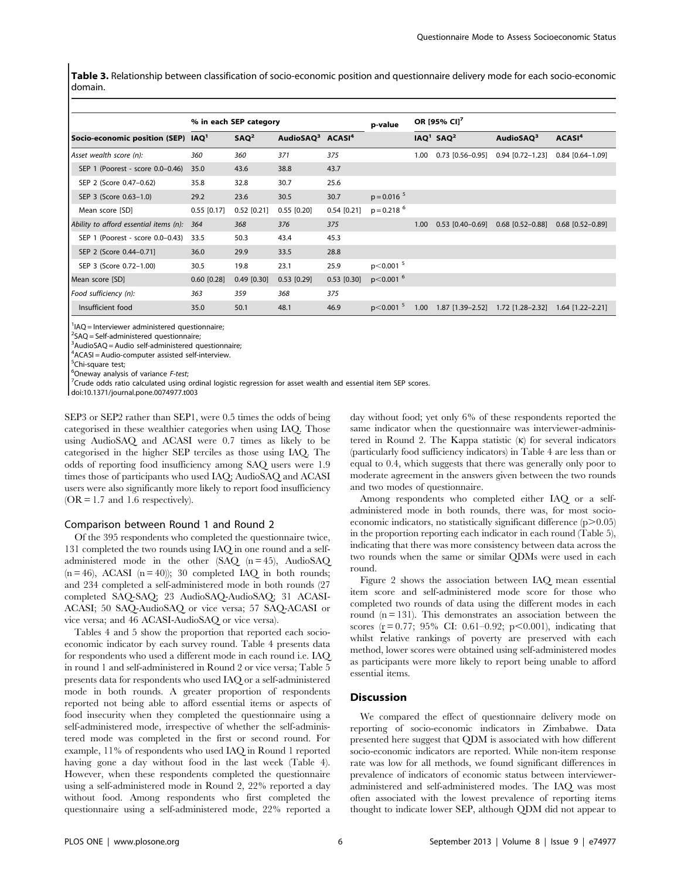Table 3. Relationship between classification of socio-economic position and questionnaire delivery mode for each socio-economic domain.

|                                        |                  | % in each SEP category |                                          |               | p-value                  | OR [95% CI] <sup>7</sup> |                                   |                                     |                    |  |
|----------------------------------------|------------------|------------------------|------------------------------------------|---------------|--------------------------|--------------------------|-----------------------------------|-------------------------------------|--------------------|--|
| Socio-economic position (SEP)          | IAQ <sup>1</sup> | SAO <sup>2</sup>       | AudioSAQ <sup>3</sup> ACASI <sup>4</sup> |               |                          |                          | IAQ <sup>1</sup> SAQ <sup>2</sup> | AudioSAO <sup>3</sup>               | ACASI <sup>4</sup> |  |
| Asset wealth score (n):                | 360              | 360                    | 371                                      | 375           |                          | 1.00                     | $0.73$ [0.56-0.95]                | $0.94$ [0.72-1.23]                  | $0.84$ [0.64-1.09] |  |
| SEP 1 (Poorest - score 0.0-0.46)       | 35.0             | 43.6                   | 38.8                                     | 43.7          |                          |                          |                                   |                                     |                    |  |
| SEP 2 (Score 0.47-0.62)                | 35.8             | 32.8                   | 30.7                                     | 25.6          |                          |                          |                                   |                                     |                    |  |
| SEP 3 (Score 0.63-1.0)                 | 29.2             | 23.6                   | 30.5                                     | 30.7          | $p = 0.016$ <sup>5</sup> |                          |                                   |                                     |                    |  |
| Mean score [SD]                        | $0.55$ [0.17]    | $0.52$ [0.21]          | $0.55$ [0.20]                            | $0.54$ [0.21] | $p = 0.218$ <sup>6</sup> |                          |                                   |                                     |                    |  |
| Ability to afford essential items (n): | 364              | 368                    | 376                                      | 375           |                          | 1.00                     | $0.53$ [0.40-0.69]                | $0.68$ [0.52-0.88]                  | $0.68$ [0.52-0.89] |  |
| SEP 1 (Poorest - score 0.0-0.43)       | 33.5             | 50.3                   | 43.4                                     | 45.3          |                          |                          |                                   |                                     |                    |  |
| SEP 2 (Score 0.44-0.71)                | 36.0             | 29.9                   | 33.5                                     | 28.8          |                          |                          |                                   |                                     |                    |  |
| SEP 3 (Score 0.72-1.00)                | 30.5             | 19.8                   | 23.1                                     | 25.9          | $p<0.001$ <sup>5</sup>   |                          |                                   |                                     |                    |  |
| Mean score [SD]                        | $0.60$ [0.28]    | $0.49$ [0.30]          | $0.53$ [0.29]                            | $0.53$ [0.30] | $p$ < 0.001 $^{6}$       |                          |                                   |                                     |                    |  |
| Food sufficiency (n):                  | 363              | 359                    | 368                                      | 375           |                          |                          |                                   |                                     |                    |  |
| Insufficient food                      | 35.0             | 50.1                   | 48.1                                     | 46.9          | $p < 0.001$ <sup>5</sup> | 1.00                     |                                   | $1.87$ [1.39-2.52] 1.72 [1.28-2.32] | $1.64$ [1.22-2.21] |  |

<sup>1</sup>IAQ = Interviewer administered questionnaire;

 ${}^{2}$ SAQ = Self-administered questionnaire;

<sup>3</sup>AudioSAQ = Audio self-administered questionnaire;

4 ACASI = Audio-computer assisted self-interview.

<sup>5</sup>Chi-square test;

<sup>6</sup> Oneway analysis of variance  $F$ -test;

 $7$ Crude odds ratio calculated using ordinal logistic regression for asset wealth and essential item SEP scores.

doi:10.1371/journal.pone.0074977.t003

SEP3 or SEP2 rather than SEP1, were 0.5 times the odds of being categorised in these wealthier categories when using IAQ. Those using AudioSAQ and ACASI were 0.7 times as likely to be categorised in the higher SEP terciles as those using IAQ. The odds of reporting food insufficiency among SAQ users were 1.9 times those of participants who used IAQ; AudioSAQ and ACASI users were also significantly more likely to report food insufficiency  $(OR = 1.7$  and 1.6 respectively).

#### Comparison between Round 1 and Round 2

Of the 395 respondents who completed the questionnaire twice, 131 completed the two rounds using IAQ in one round and a selfadministered mode in the other (SAQ (n = 45), AudioSAQ  $(n = 46)$ , ACASI  $(n = 40)$ ; 30 completed IAQ in both rounds; and 234 completed a self-administered mode in both rounds (27 completed SAQ-SAQ; 23 AudioSAQ-AudioSAQ; 31 ACASI-ACASI; 50 SAQ-AudioSAQ or vice versa; 57 SAQ-ACASI or vice versa; and 46 ACASI-AudioSAQ or vice versa).

Tables 4 and 5 show the proportion that reported each socioeconomic indicator by each survey round. Table 4 presents data for respondents who used a different mode in each round i.e. IAQ in round 1 and self-administered in Round 2 or vice versa; Table 5 presents data for respondents who used IAQ or a self-administered mode in both rounds. A greater proportion of respondents reported not being able to afford essential items or aspects of food insecurity when they completed the questionnaire using a self-administered mode, irrespective of whether the self-administered mode was completed in the first or second round. For example, 11% of respondents who used IAQ in Round 1 reported having gone a day without food in the last week (Table 4). However, when these respondents completed the questionnaire using a self-administered mode in Round 2, 22% reported a day without food. Among respondents who first completed the questionnaire using a self-administered mode, 22% reported a day without food; yet only 6% of these respondents reported the same indicator when the questionnaire was interviewer-administered in Round 2. The Kappa statistic  $(\kappa)$  for several indicators (particularly food sufficiency indicators) in Table 4 are less than or equal to 0.4, which suggests that there was generally only poor to moderate agreement in the answers given between the two rounds and two modes of questionnaire.

Among respondents who completed either IAQ or a selfadministered mode in both rounds, there was, for most socioeconomic indicators, no statistically significant difference  $(p>0.05)$ in the proportion reporting each indicator in each round (Table 5), indicating that there was more consistency between data across the two rounds when the same or similar QDMs were used in each round.

Figure 2 shows the association between IAQ mean essential item score and self-administered mode score for those who completed two rounds of data using the different modes in each round  $(n = 131)$ . This demonstrates an association between the scores ( $r = 0.77$ ; 95% CI: 0.61–0.92; p<0.001), indicating that whilst relative rankings of poverty are preserved with each method, lower scores were obtained using self-administered modes as participants were more likely to report being unable to afford essential items.

## **Discussion**

We compared the effect of questionnaire delivery mode on reporting of socio-economic indicators in Zimbabwe. Data presented here suggest that QDM is associated with how different socio-economic indicators are reported. While non-item response rate was low for all methods, we found significant differences in prevalence of indicators of economic status between intervieweradministered and self-administered modes. The IAQ was most often associated with the lowest prevalence of reporting items thought to indicate lower SEP, although QDM did not appear to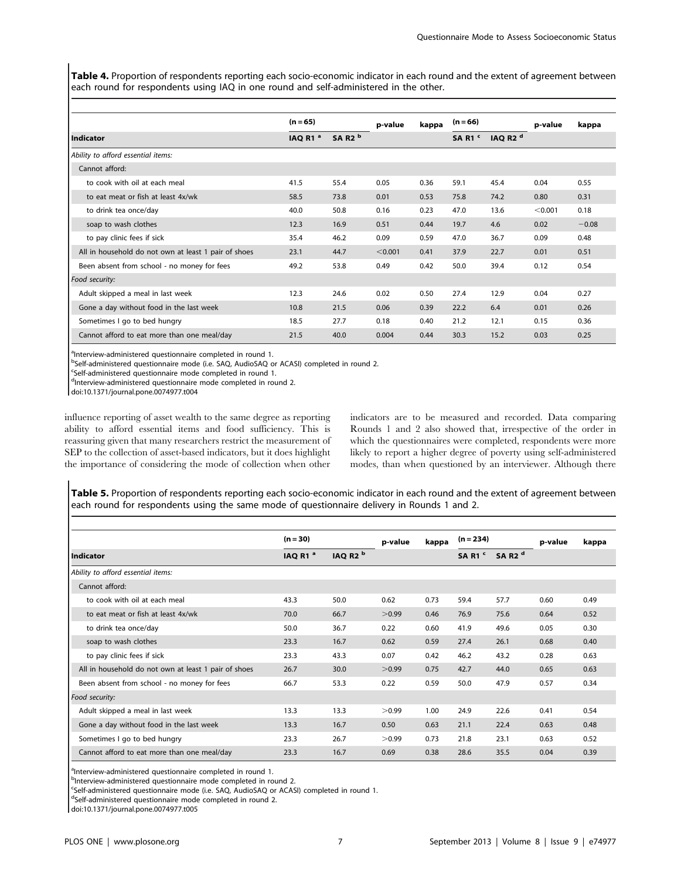Table 4. Proportion of respondents reporting each socio-economic indicator in each round and the extent of agreement between each round for respondents using IAQ in one round and self-administered in the other.

|                                                      | $(n = 65)$          |                                | p-value | kappa | $(n = 66)$                    |                     |         | kappa   |
|------------------------------------------------------|---------------------|--------------------------------|---------|-------|-------------------------------|---------------------|---------|---------|
| <b>Indicator</b>                                     | IAQ R1 <sup>a</sup> | SA R <sub>2</sub> <sup>b</sup> |         |       | SAR <sub>1</sub> <sup>c</sup> | IAQ R2 <sup>d</sup> |         |         |
| Ability to afford essential items:                   |                     |                                |         |       |                               |                     |         |         |
| Cannot afford:                                       |                     |                                |         |       |                               |                     |         |         |
| to cook with oil at each meal                        | 41.5                | 55.4                           | 0.05    | 0.36  | 59.1                          | 45.4                | 0.04    | 0.55    |
| to eat meat or fish at least 4x/wk                   | 58.5                | 73.8                           | 0.01    | 0.53  | 75.8                          | 74.2                | 0.80    | 0.31    |
| to drink tea once/day                                | 40.0                | 50.8                           | 0.16    | 0.23  | 47.0                          | 13.6                | < 0.001 | 0.18    |
| soap to wash clothes                                 | 12.3                | 16.9                           | 0.51    | 0.44  | 19.7                          | 4.6                 | 0.02    | $-0.08$ |
| to pay clinic fees if sick                           | 35.4                | 46.2                           | 0.09    | 0.59  | 47.0                          | 36.7                | 0.09    | 0.48    |
| All in household do not own at least 1 pair of shoes | 23.1                | 44.7                           | < 0.001 | 0.41  | 37.9                          | 22.7                | 0.01    | 0.51    |
| Been absent from school - no money for fees          | 49.2                | 53.8                           | 0.49    | 0.42  | 50.0                          | 39.4                | 0.12    | 0.54    |
| Food security:                                       |                     |                                |         |       |                               |                     |         |         |
| Adult skipped a meal in last week                    | 12.3                | 24.6                           | 0.02    | 0.50  | 27.4                          | 12.9                | 0.04    | 0.27    |
| Gone a day without food in the last week             | 10.8                | 21.5                           | 0.06    | 0.39  | 22.2                          | 6.4                 | 0.01    | 0.26    |
| Sometimes I go to bed hungry                         | 18.5                | 27.7                           | 0.18    | 0.40  | 21.2                          | 12.1                | 0.15    | 0.36    |
| Cannot afford to eat more than one meal/day          | 21.5                | 40.0                           | 0.004   | 0.44  | 30.3                          | 15.2                | 0.03    | 0.25    |

<sup>a</sup>Interview-administered questionnaire completed in round 1.

<sup>b</sup>Self-administered questionnaire mode (i.e. SAQ, AudioSAQ or ACASI) completed in round 2.

c Self-administered questionnaire mode completed in round 1.

dInterview-administered questionnaire mode completed in round 2.

doi:10.1371/journal.pone.0074977.t004

influence reporting of asset wealth to the same degree as reporting ability to afford essential items and food sufficiency. This is reassuring given that many researchers restrict the measurement of SEP to the collection of asset-based indicators, but it does highlight the importance of considering the mode of collection when other

indicators are to be measured and recorded. Data comparing Rounds 1 and 2 also showed that, irrespective of the order in which the questionnaires were completed, respondents were more likely to report a higher degree of poverty using self-administered modes, than when questioned by an interviewer. Although there

Table 5. Proportion of respondents reporting each socio-economic indicator in each round and the extent of agreement between each round for respondents using the same mode of questionnaire delivery in Rounds 1 and 2.

|                                                      | $(n = 30)$          |                        | p-value<br>kappa |      | $(n = 234)$                   |                                | p-value | kappa |
|------------------------------------------------------|---------------------|------------------------|------------------|------|-------------------------------|--------------------------------|---------|-------|
| <b>Indicator</b>                                     | IAQ R1 <sup>a</sup> | IAQ R <sub>2</sub> $b$ |                  |      | SAR <sub>1</sub> <sup>c</sup> | SA R <sub>2</sub> <sup>d</sup> |         |       |
| Ability to afford essential items:                   |                     |                        |                  |      |                               |                                |         |       |
| Cannot afford:                                       |                     |                        |                  |      |                               |                                |         |       |
| to cook with oil at each meal                        | 43.3                | 50.0                   | 0.62             | 0.73 | 59.4                          | 57.7                           | 0.60    | 0.49  |
| to eat meat or fish at least 4x/wk                   | 70.0                | 66.7                   | >0.99            | 0.46 | 76.9                          | 75.6                           | 0.64    | 0.52  |
| to drink tea once/day                                | 50.0                | 36.7                   | 0.22             | 0.60 | 41.9                          | 49.6                           | 0.05    | 0.30  |
| soap to wash clothes                                 | 23.3                | 16.7                   | 0.62             | 0.59 | 27.4                          | 26.1                           | 0.68    | 0.40  |
| to pay clinic fees if sick                           | 23.3                | 43.3                   | 0.07             | 0.42 | 46.2                          | 43.2                           | 0.28    | 0.63  |
| All in household do not own at least 1 pair of shoes | 26.7                | 30.0                   | >0.99            | 0.75 | 42.7                          | 44.0                           | 0.65    | 0.63  |
| Been absent from school - no money for fees          | 66.7                | 53.3                   | 0.22             | 0.59 | 50.0                          | 47.9                           | 0.57    | 0.34  |
| Food security:                                       |                     |                        |                  |      |                               |                                |         |       |
| Adult skipped a meal in last week                    | 13.3                | 13.3                   | >0.99            | 1.00 | 24.9                          | 22.6                           | 0.41    | 0.54  |
| Gone a day without food in the last week             | 13.3                | 16.7                   | 0.50             | 0.63 | 21.1                          | 22.4                           | 0.63    | 0.48  |
| Sometimes I go to bed hungry                         | 23.3                | 26.7                   | >0.99            | 0.73 | 21.8                          | 23.1                           | 0.63    | 0.52  |
| Cannot afford to eat more than one meal/day          | 23.3                | 16.7                   | 0.69             | 0.38 | 28.6                          | 35.5                           | 0.04    | 0.39  |

<sup>a</sup>Interview-administered questionnaire completed in round 1.

<sup>b</sup>Interview-administered questionnaire mode completed in round 2.

<sup>c</sup>Self-administered questionnaire mode (i.e. SAQ, AudioSAQ or ACASI) completed in round 1.

dSelf-administered questionnaire mode completed in round 2.

doi:10.1371/journal.pone.0074977.t005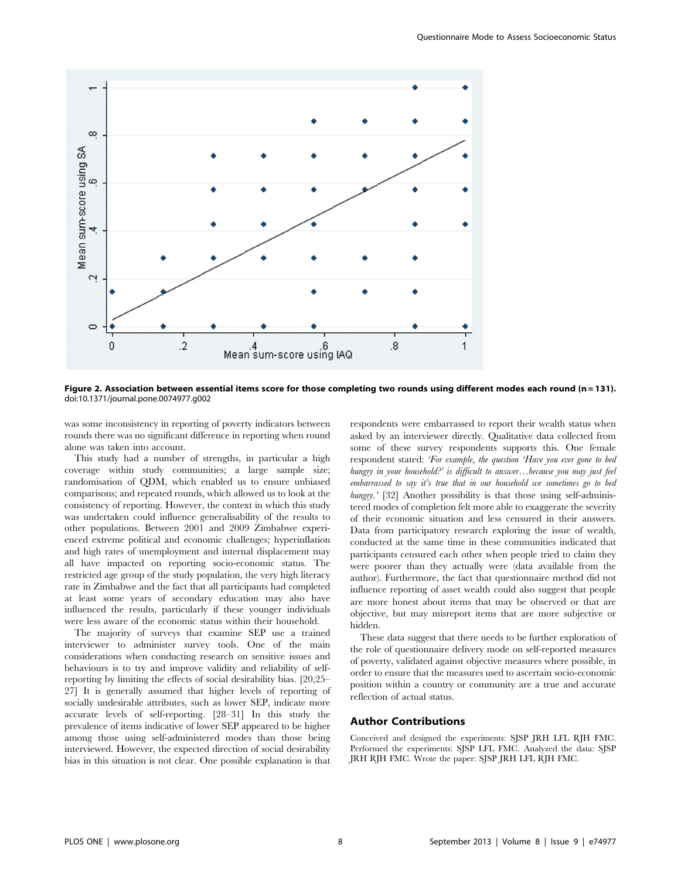

Figure 2. Association between essential items score for those completing two rounds using different modes each round (n = 131). doi:10.1371/journal.pone.0074977.g002

was some inconsistency in reporting of poverty indicators between rounds there was no significant difference in reporting when round alone was taken into account.

This study had a number of strengths, in particular a high coverage within study communities; a large sample size; randomisation of QDM, which enabled us to ensure unbiased comparisons; and repeated rounds, which allowed us to look at the consistency of reporting. However, the context in which this study was undertaken could influence generalisability of the results to other populations. Between 2001 and 2009 Zimbabwe experienced extreme political and economic challenges; hyperinflation and high rates of unemployment and internal displacement may all have impacted on reporting socio-economic status. The restricted age group of the study population, the very high literacy rate in Zimbabwe and the fact that all participants had completed at least some years of secondary education may also have influenced the results, particularly if these younger individuals were less aware of the economic status within their household.

The majority of surveys that examine SEP use a trained interviewer to administer survey tools. One of the main considerations when conducting research on sensitive issues and behaviours is to try and improve validity and reliability of selfreporting by limiting the effects of social desirability bias. [20,25– 27] It is generally assumed that higher levels of reporting of socially undesirable attributes, such as lower SEP, indicate more accurate levels of self-reporting. [28–31] In this study the prevalence of items indicative of lower SEP appeared to be higher among those using self-administered modes than those being interviewed. However, the expected direction of social desirability bias in this situation is not clear. One possible explanation is that

respondents were embarrassed to report their wealth status when asked by an interviewer directly. Qualitative data collected from some of these survey respondents supports this. One female respondent stated: 'For example, the question 'Have you ever gone to bed hungry in your household?' is difficult to answer...because you may just feel embarrassed to say it's true that in our household we sometimes go to bed hungry.' [32] Another possibility is that those using self-administered modes of completion felt more able to exaggerate the severity of their economic situation and less censured in their answers. Data from participatory research exploring the issue of wealth, conducted at the same time in these communities indicated that participants censured each other when people tried to claim they were poorer than they actually were (data available from the author). Furthermore, the fact that questionnaire method did not influence reporting of asset wealth could also suggest that people are more honest about items that may be observed or that are objective, but may misreport items that are more subjective or hidden.

These data suggest that there needs to be further exploration of the role of questionnaire delivery mode on self-reported measures of poverty, validated against objective measures where possible, in order to ensure that the measures used to ascertain socio-economic position within a country or community are a true and accurate reflection of actual status.

### Author Contributions

Conceived and designed the experiments: SJSP JRH LFL RJH FMC. Performed the experiments: SJSP LFL FMC. Analyzed the data: SJSP JRH RJH FMC. Wrote the paper: SJSP JRH LFL RJH FMC.